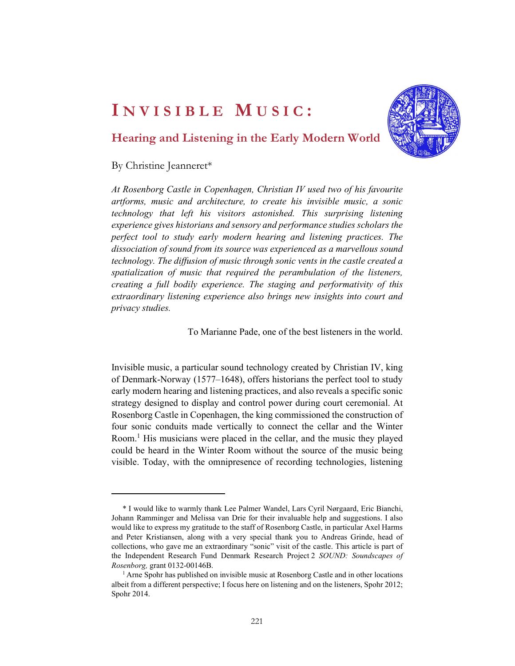

# Hearing and Listening in the Early Modern World

#### By Christine Jeanneret\*

At Rosenborg Castle in Copenhagen, Christian IV used two of his favourite artforms, music and architecture, to create his invisible music, a sonic technology that left his visitors astonished. This surprising listening experience gives historians and sensory and performance studies scholars the perfect tool to study early modern hearing and listening practices. The dissociation of sound from its source was experienced as a marvellous sound technology. The diffusion of music through sonic vents in the castle created a spatialization of music that required the perambulation of the listeners, creating a full bodily experience. The staging and performativity of this extraordinary listening experience also brings new insights into court and privacy studies.

To Marianne Pade, one of the best listeners in the world.

Invisible music, a particular sound technology created by Christian IV, king of Denmark-Norway (1577–1648), offers historians the perfect tool to study early modern hearing and listening practices, and also reveals a specific sonic strategy designed to display and control power during court ceremonial. At Rosenborg Castle in Copenhagen, the king commissioned the construction of four sonic conduits made vertically to connect the cellar and the Winter Room.<sup>1</sup> His musicians were placed in the cellar, and the music they played could be heard in the Winter Room without the source of the music being visible. Today, with the omnipresence of recording technologies, listening

<sup>\*</sup> I would like to warmly thank Lee Palmer Wandel, Lars Cyril Nørgaard, Eric Bianchi, Johann Ramminger and Melissa van Drie for their invaluable help and suggestions. I also would like to express my gratitude to the staff of Rosenborg Castle, in particular Axel Harms and Peter Kristiansen, along with a very special thank you to Andreas Grinde, head of collections, who gave me an extraordinary "sonic" visit of the castle. This article is part of the Independent Research Fund Denmark Research Project 2 SOUND: Soundscapes of Rosenborg, grant 0132-00146B.<br><sup>1</sup> Arne Spohr has published on invisible music at Rosenborg Castle and in other locations

albeit from a different perspective; I focus here on listening and on the listeners, Spohr 2012; Spohr 2014.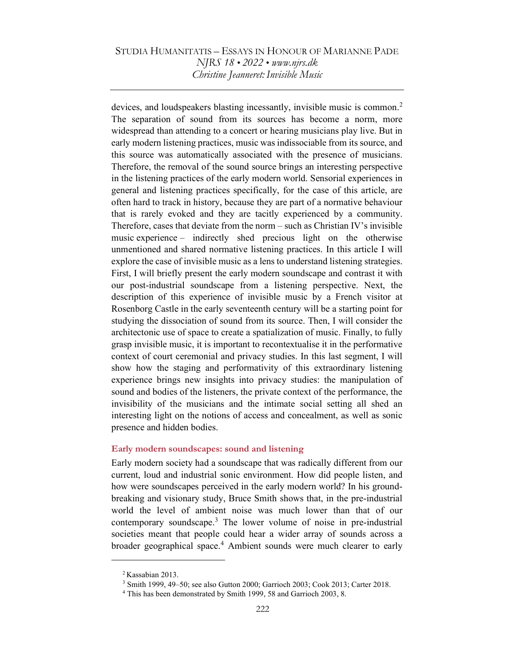devices, and loudspeakers blasting incessantly, invisible music is common.<sup>2</sup> The separation of sound from its sources has become a norm, more widespread than attending to a concert or hearing musicians play live. But in early modern listening practices, music was indissociable from its source, and this source was automatically associated with the presence of musicians. Therefore, the removal of the sound source brings an interesting perspective in the listening practices of the early modern world. Sensorial experiences in general and listening practices specifically, for the case of this article, are often hard to track in history, because they are part of a normative behaviour that is rarely evoked and they are tacitly experienced by a community. Therefore, cases that deviate from the norm – such as Christian IV's invisible music experience – indirectly shed precious light on the otherwise unmentioned and shared normative listening practices. In this article I will explore the case of invisible music as a lens to understand listening strategies. First, I will briefly present the early modern soundscape and contrast it with our post-industrial soundscape from a listening perspective. Next, the description of this experience of invisible music by a French visitor at Rosenborg Castle in the early seventeenth century will be a starting point for studying the dissociation of sound from its source. Then, I will consider the architectonic use of space to create a spatialization of music. Finally, to fully grasp invisible music, it is important to recontextualise it in the performative context of court ceremonial and privacy studies. In this last segment, I will show how the staging and performativity of this extraordinary listening experience brings new insights into privacy studies: the manipulation of sound and bodies of the listeners, the private context of the performance, the invisibility of the musicians and the intimate social setting all shed an interesting light on the notions of access and concealment, as well as sonic presence and hidden bodies.

#### Early modern soundscapes: sound and listening

Early modern society had a soundscape that was radically different from our current, loud and industrial sonic environment. How did people listen, and how were soundscapes perceived in the early modern world? In his groundbreaking and visionary study, Bruce Smith shows that, in the pre-industrial world the level of ambient noise was much lower than that of our contemporary soundscape.<sup>3</sup> The lower volume of noise in pre-industrial societies meant that people could hear a wider array of sounds across a broader geographical space.<sup>4</sup> Ambient sounds were much clearer to early

<sup>&</sup>lt;sup>2</sup> Kassabian 2013.

<sup>3</sup> Smith 1999, 49–50; see also Gutton 2000; Garrioch 2003; Cook 2013; Carter 2018.

<sup>&</sup>lt;sup>4</sup> This has been demonstrated by Smith 1999, 58 and Garrioch 2003, 8.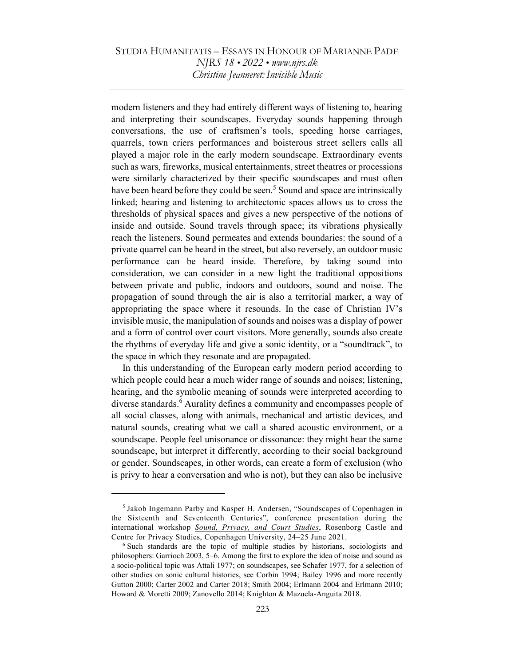modern listeners and they had entirely different ways of listening to, hearing and interpreting their soundscapes. Everyday sounds happening through conversations, the use of craftsmen's tools, speeding horse carriages, quarrels, town criers performances and boisterous street sellers calls all played a major role in the early modern soundscape. Extraordinary events such as wars, fireworks, musical entertainments, street theatres or processions were similarly characterized by their specific soundscapes and must often have been heard before they could be seen.<sup>5</sup> Sound and space are intrinsically linked; hearing and listening to architectonic spaces allows us to cross the thresholds of physical spaces and gives a new perspective of the notions of inside and outside. Sound travels through space; its vibrations physically reach the listeners. Sound permeates and extends boundaries: the sound of a private quarrel can be heard in the street, but also reversely, an outdoor music performance can be heard inside. Therefore, by taking sound into consideration, we can consider in a new light the traditional oppositions between private and public, indoors and outdoors, sound and noise. The propagation of sound through the air is also a territorial marker, a way of appropriating the space where it resounds. In the case of Christian IV's invisible music, the manipulation of sounds and noises was a display of power and a form of control over court visitors. More generally, sounds also create the rhythms of everyday life and give a sonic identity, or a "soundtrack", to the space in which they resonate and are propagated.

In this understanding of the European early modern period according to which people could hear a much wider range of sounds and noises; listening, hearing, and the symbolic meaning of sounds were interpreted according to diverse standards.<sup>6</sup> Aurality defines a community and encompasses people of all social classes, along with animals, mechanical and artistic devices, and natural sounds, creating what we call a shared acoustic environment, or a soundscape. People feel unisonance or dissonance: they might hear the same soundscape, but interpret it differently, according to their social background or gender. Soundscapes, in other words, can create a form of exclusion (who is privy to hear a conversation and who is not), but they can also be inclusive

<sup>&</sup>lt;sup>5</sup> Jakob Ingemann Parby and Kasper H. Andersen, "Soundscapes of Copenhagen in the Sixteenth and Seventeenth Centuries", conference presentation during the international workshop Sound, Privacy, and Court Studies, Rosenborg Castle and Centre for Privacy Studies, Copenhagen University, 24–25 June 2021.

<sup>&</sup>lt;sup>6</sup> Such standards are the topic of multiple studies by historians, sociologists and philosophers: Garrioch 2003, 5–6. Among the first to explore the idea of noise and sound as a socio-political topic was Attali 1977; on soundscapes, see Schafer 1977, for a selection of other studies on sonic cultural histories, see Corbin 1994; Bailey 1996 and more recently Gutton 2000; Carter 2002 and Carter 2018; Smith 2004; Erlmann 2004 and Erlmann 2010; Howard & Moretti 2009; Zanovello 2014; Knighton & Mazuela-Anguita 2018.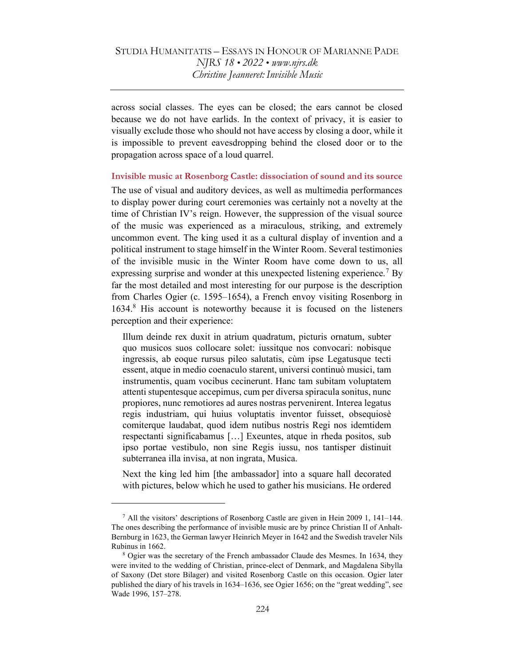across social classes. The eyes can be closed; the ears cannot be closed because we do not have earlids. In the context of privacy, it is easier to visually exclude those who should not have access by closing a door, while it is impossible to prevent eavesdropping behind the closed door or to the propagation across space of a loud quarrel.

#### Invisible music at Rosenborg Castle: dissociation of sound and its source

The use of visual and auditory devices, as well as multimedia performances to display power during court ceremonies was certainly not a novelty at the time of Christian IV's reign. However, the suppression of the visual source of the music was experienced as a miraculous, striking, and extremely uncommon event. The king used it as a cultural display of invention and a political instrument to stage himself in the Winter Room. Several testimonies of the invisible music in the Winter Room have come down to us, all expressing surprise and wonder at this unexpected listening experience.<sup>7</sup> By far the most detailed and most interesting for our purpose is the description from Charles Ogier (c. 1595–1654), a French envoy visiting Rosenborg in 1634.<sup>8</sup> His account is noteworthy because it is focused on the listeners perception and their experience:

Illum deinde rex duxit in atrium quadratum, picturis ornatum, subter quo musicos suos collocare solet: iussitque nos convocari: nobisque ingressis, ab eoque rursus pileo salutatis, cùm ipse Legatusque tecti essent, atque in medio coenaculo starent, universi continuò musici, tam instrumentis, quam vocibus cecinerunt. Hanc tam subitam voluptatem attenti stupentesque accepimus, cum per diversa spiracula sonitus, nunc propiores, nunc remotiores ad aures nostras pervenirent. Interea legatus regis industriam, qui huius voluptatis inventor fuisset, obsequiosè comiterque laudabat, quod idem nutibus nostris Regi nos idemtidem respectanti significabamus […] Exeuntes, atque in rheda positos, sub ipso portae vestibulo, non sine Regis iussu, nos tantisper distinuit subterranea illa invisa, at non ingrata, Musica.

Next the king led him [the ambassador] into a square hall decorated with pictures, below which he used to gather his musicians. He ordered

<sup>&</sup>lt;sup>7</sup> All the visitors' descriptions of Rosenborg Castle are given in Hein 2009 1, 141–144. The ones describing the performance of invisible music are by prince Christian II of Anhalt-Bernburg in 1623, the German lawyer Heinrich Meyer in 1642 and the Swedish traveler Nils Rubinus in 1662.

<sup>&</sup>lt;sup>8</sup> Ogier was the secretary of the French ambassador Claude des Mesmes. In 1634, they were invited to the wedding of Christian, prince-elect of Denmark, and Magdalena Sibylla of Saxony (Det store Bilager) and visited Rosenborg Castle on this occasion. Ogier later published the diary of his travels in 1634–1636, see Ogier 1656; on the "great wedding", see Wade 1996, 157–278.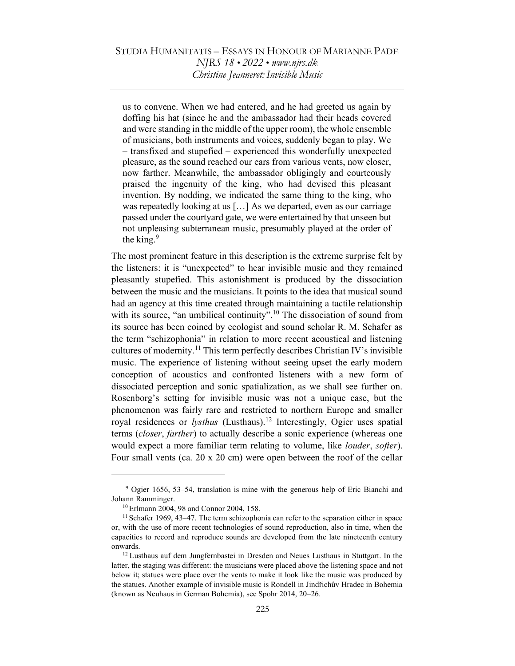us to convene. When we had entered, and he had greeted us again by doffing his hat (since he and the ambassador had their heads covered and were standing in the middle of the upper room), the whole ensemble of musicians, both instruments and voices, suddenly began to play. We – transfixed and stupefied – experienced this wonderfully unexpected pleasure, as the sound reached our ears from various vents, now closer, now farther. Meanwhile, the ambassador obligingly and courteously praised the ingenuity of the king, who had devised this pleasant invention. By nodding, we indicated the same thing to the king, who was repeatedly looking at us […] As we departed, even as our carriage passed under the courtyard gate, we were entertained by that unseen but not unpleasing subterranean music, presumably played at the order of the king. $9$ 

The most prominent feature in this description is the extreme surprise felt by the listeners: it is "unexpected" to hear invisible music and they remained pleasantly stupefied. This astonishment is produced by the dissociation between the music and the musicians. It points to the idea that musical sound had an agency at this time created through maintaining a tactile relationship with its source, "an umbilical continuity".<sup>10</sup> The dissociation of sound from its source has been coined by ecologist and sound scholar R. M. Schafer as the term "schizophonia" in relation to more recent acoustical and listening cultures of modernity.<sup>11</sup> This term perfectly describes Christian IV's invisible music. The experience of listening without seeing upset the early modern conception of acoustics and confronted listeners with a new form of dissociated perception and sonic spatialization, as we shall see further on. Rosenborg's setting for invisible music was not a unique case, but the phenomenon was fairly rare and restricted to northern Europe and smaller royal residences or *lysthus* (Lusthaus).<sup>12</sup> Interestingly, Ogier uses spatial terms (closer, farther) to actually describe a sonic experience (whereas one would expect a more familiar term relating to volume, like *louder*, *softer*). Four small vents (ca. 20 x 20 cm) were open between the roof of the cellar

 9 Ogier 1656, 53–54, translation is mine with the generous help of Eric Bianchi and Johann Ramminger.

<sup>10</sup>Erlmann 2004, 98 and Connor 2004, 158.

 $11$  Schafer 1969, 43–47. The term schizophonia can refer to the separation either in space or, with the use of more recent technologies of sound reproduction, also in time, when the capacities to record and reproduce sounds are developed from the late nineteenth century onwards.

<sup>&</sup>lt;sup>12</sup> Lusthaus auf dem Jungfernbastei in Dresden and Neues Lusthaus in Stuttgart. In the latter, the staging was different: the musicians were placed above the listening space and not below it; statues were place over the vents to make it look like the music was produced by the statues. Another example of invisible music is Rondell in Jindřichův Hradec in Bohemia (known as Neuhaus in German Bohemia), see Spohr 2014, 20–26.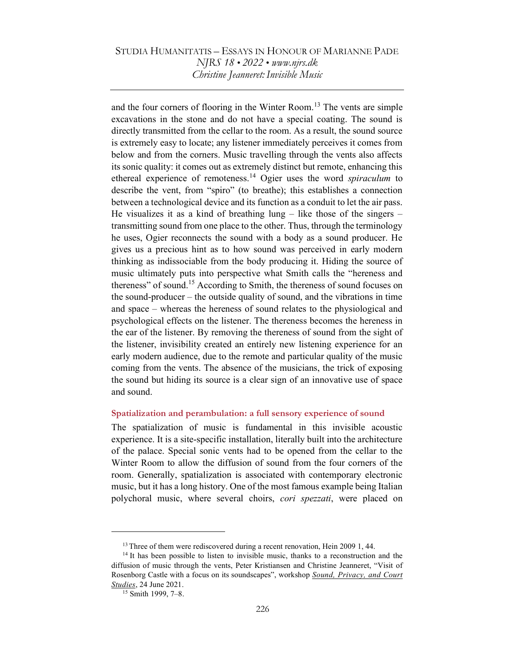and the four corners of flooring in the Winter Room.<sup>13</sup> The vents are simple excavations in the stone and do not have a special coating. The sound is directly transmitted from the cellar to the room. As a result, the sound source is extremely easy to locate; any listener immediately perceives it comes from below and from the corners. Music travelling through the vents also affects its sonic quality: it comes out as extremely distinct but remote, enhancing this ethereal experience of remoteness.<sup>14</sup> Ogier uses the word *spiraculum* to describe the vent, from "spiro" (to breathe); this establishes a connection between a technological device and its function as a conduit to let the air pass. He visualizes it as a kind of breathing  $\text{lung}$  – like those of the singers – transmitting sound from one place to the other. Thus, through the terminology he uses, Ogier reconnects the sound with a body as a sound producer. He gives us a precious hint as to how sound was perceived in early modern thinking as indissociable from the body producing it. Hiding the source of music ultimately puts into perspective what Smith calls the "hereness and thereness" of sound.<sup>15</sup> According to Smith, the thereness of sound focuses on the sound-producer – the outside quality of sound, and the vibrations in time and space – whereas the hereness of sound relates to the physiological and psychological effects on the listener. The thereness becomes the hereness in the ear of the listener. By removing the thereness of sound from the sight of the listener, invisibility created an entirely new listening experience for an early modern audience, due to the remote and particular quality of the music coming from the vents. The absence of the musicians, the trick of exposing the sound but hiding its source is a clear sign of an innovative use of space and sound.

#### Spatialization and perambulation: a full sensory experience of sound

The spatialization of music is fundamental in this invisible acoustic experience. It is a site-specific installation, literally built into the architecture of the palace. Special sonic vents had to be opened from the cellar to the Winter Room to allow the diffusion of sound from the four corners of the room. Generally, spatialization is associated with contemporary electronic music, but it has a long history. One of the most famous example being Italian polychoral music, where several choirs, *cori spezzati*, were placed on

<sup>&</sup>lt;sup>13</sup> Three of them were rediscovered during a recent renovation, Hein 2009 1, 44.

<sup>&</sup>lt;sup>14</sup> It has been possible to listen to invisible music, thanks to a reconstruction and the diffusion of music through the vents, Peter Kristiansen and Christine Jeanneret, "Visit of Rosenborg Castle with a focus on its soundscapes", workshop Sound, Privacy, and Court Studies, 24 June 2021.

<sup>15</sup> Smith 1999, 7–8.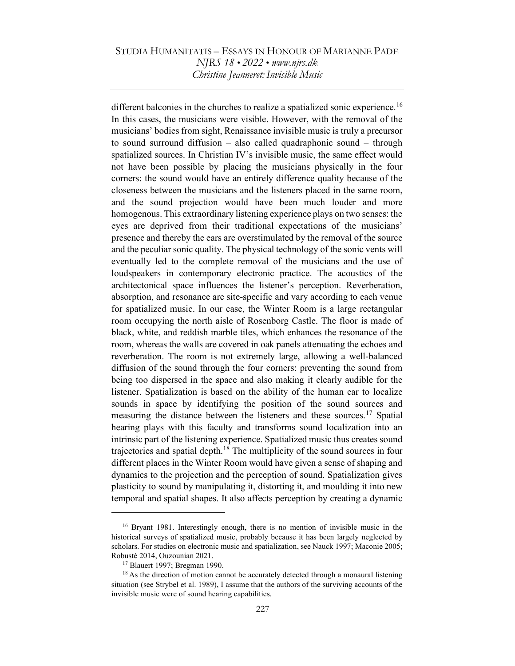different balconies in the churches to realize a spatialized sonic experience.<sup>16</sup> In this cases, the musicians were visible. However, with the removal of the musicians' bodies from sight, Renaissance invisible music is truly a precursor to sound surround diffusion – also called quadraphonic sound – through spatialized sources. In Christian IV's invisible music, the same effect would not have been possible by placing the musicians physically in the four corners: the sound would have an entirely difference quality because of the closeness between the musicians and the listeners placed in the same room, and the sound projection would have been much louder and more homogenous. This extraordinary listening experience plays on two senses: the eyes are deprived from their traditional expectations of the musicians' presence and thereby the ears are overstimulated by the removal of the source and the peculiar sonic quality. The physical technology of the sonic vents will eventually led to the complete removal of the musicians and the use of loudspeakers in contemporary electronic practice. The acoustics of the architectonical space influences the listener's perception. Reverberation, absorption, and resonance are site-specific and vary according to each venue for spatialized music. In our case, the Winter Room is a large rectangular room occupying the north aisle of Rosenborg Castle. The floor is made of black, white, and reddish marble tiles, which enhances the resonance of the room, whereas the walls are covered in oak panels attenuating the echoes and reverberation. The room is not extremely large, allowing a well-balanced diffusion of the sound through the four corners: preventing the sound from being too dispersed in the space and also making it clearly audible for the listener. Spatialization is based on the ability of the human ear to localize sounds in space by identifying the position of the sound sources and measuring the distance between the listeners and these sources.<sup>17</sup> Spatial hearing plays with this faculty and transforms sound localization into an intrinsic part of the listening experience. Spatialized music thus creates sound trajectories and spatial depth.<sup>18</sup> The multiplicity of the sound sources in four different places in the Winter Room would have given a sense of shaping and dynamics to the projection and the perception of sound. Spatialization gives plasticity to sound by manipulating it, distorting it, and moulding it into new temporal and spatial shapes. It also affects perception by creating a dynamic

<sup>&</sup>lt;sup>16</sup> Bryant 1981. Interestingly enough, there is no mention of invisible music in the historical surveys of spatialized music, probably because it has been largely neglected by scholars. For studies on electronic music and spatialization, see Nauck 1997; Maconie 2005; Robusté 2014, Ouzounian 2021.

<sup>17</sup> Blauert 1997; Bregman 1990.

 $18$  As the direction of motion cannot be accurately detected through a monaural listening situation (see Strybel et al. 1989), I assume that the authors of the surviving accounts of the invisible music were of sound hearing capabilities.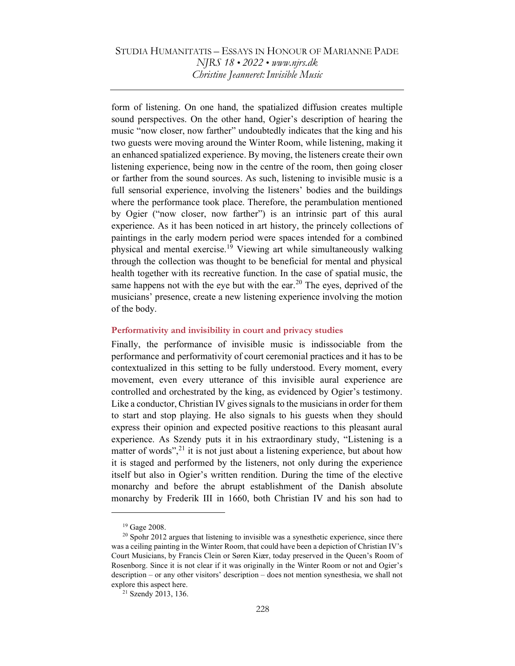form of listening. On one hand, the spatialized diffusion creates multiple sound perspectives. On the other hand, Ogier's description of hearing the music "now closer, now farther" undoubtedly indicates that the king and his two guests were moving around the Winter Room, while listening, making it an enhanced spatialized experience. By moving, the listeners create their own listening experience, being now in the centre of the room, then going closer or farther from the sound sources. As such, listening to invisible music is a full sensorial experience, involving the listeners' bodies and the buildings where the performance took place. Therefore, the perambulation mentioned by Ogier ("now closer, now farther") is an intrinsic part of this aural experience. As it has been noticed in art history, the princely collections of paintings in the early modern period were spaces intended for a combined physical and mental exercise.<sup>19</sup> Viewing art while simultaneously walking through the collection was thought to be beneficial for mental and physical health together with its recreative function. In the case of spatial music, the same happens not with the eye but with the ear.<sup>20</sup> The eyes, deprived of the musicians' presence, create a new listening experience involving the motion of the body.

#### Performativity and invisibility in court and privacy studies

Finally, the performance of invisible music is indissociable from the performance and performativity of court ceremonial practices and it has to be contextualized in this setting to be fully understood. Every moment, every movement, even every utterance of this invisible aural experience are controlled and orchestrated by the king, as evidenced by Ogier's testimony. Like a conductor, Christian IV gives signals to the musicians in order for them to start and stop playing. He also signals to his guests when they should express their opinion and expected positive reactions to this pleasant aural experience. As Szendy puts it in his extraordinary study, "Listening is a matter of words", $^{21}$  it is not just about a listening experience, but about how it is staged and performed by the listeners, not only during the experience itself but also in Ogier's written rendition. During the time of the elective monarchy and before the abrupt establishment of the Danish absolute monarchy by Frederik III in 1660, both Christian IV and his son had to

<sup>19</sup> Gage 2008.

 $20$  Spohr 2012 argues that listening to invisible was a synesthetic experience, since there was a ceiling painting in the Winter Room, that could have been a depiction of Christian IV's Court Musicians, by Francis Clein or Søren Kiær, today preserved in the Queen's Room of Rosenborg. Since it is not clear if it was originally in the Winter Room or not and Ogier's description – or any other visitors' description – does not mention synesthesia, we shall not explore this aspect here.

<sup>21</sup> Szendy 2013, 136.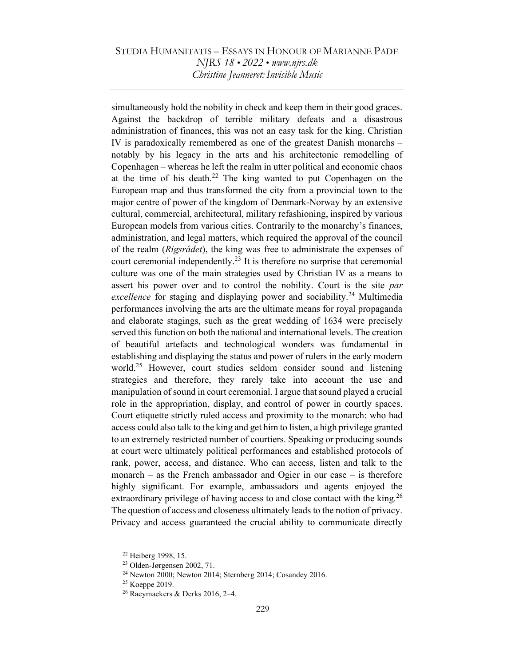simultaneously hold the nobility in check and keep them in their good graces. Against the backdrop of terrible military defeats and a disastrous administration of finances, this was not an easy task for the king. Christian IV is paradoxically remembered as one of the greatest Danish monarchs – notably by his legacy in the arts and his architectonic remodelling of Copenhagen – whereas he left the realm in utter political and economic chaos at the time of his death.<sup>22</sup> The king wanted to put Copenhagen on the European map and thus transformed the city from a provincial town to the major centre of power of the kingdom of Denmark-Norway by an extensive cultural, commercial, architectural, military refashioning, inspired by various European models from various cities. Contrarily to the monarchy's finances, administration, and legal matters, which required the approval of the council of the realm (Rigsrådet), the king was free to administrate the expenses of court ceremonial independently.<sup>23</sup> It is therefore no surprise that ceremonial culture was one of the main strategies used by Christian IV as a means to assert his power over and to control the nobility. Court is the site par excellence for staging and displaying power and sociability.<sup>24</sup> Multimedia performances involving the arts are the ultimate means for royal propaganda and elaborate stagings, such as the great wedding of 1634 were precisely served this function on both the national and international levels. The creation of beautiful artefacts and technological wonders was fundamental in establishing and displaying the status and power of rulers in the early modern world.<sup>25</sup> However, court studies seldom consider sound and listening strategies and therefore, they rarely take into account the use and manipulation of sound in court ceremonial. I argue that sound played a crucial role in the appropriation, display, and control of power in courtly spaces. Court etiquette strictly ruled access and proximity to the monarch: who had access could also talk to the king and get him to listen, a high privilege granted to an extremely restricted number of courtiers. Speaking or producing sounds at court were ultimately political performances and established protocols of rank, power, access, and distance. Who can access, listen and talk to the monarch – as the French ambassador and Ogier in our case – is therefore highly significant. For example, ambassadors and agents enjoyed the extraordinary privilege of having access to and close contact with the king.<sup>26</sup> The question of access and closeness ultimately leads to the notion of privacy. Privacy and access guaranteed the crucial ability to communicate directly

<sup>22</sup> Heiberg 1998, 15.

<sup>23</sup> Olden-Jørgensen 2002, 71.

<sup>24</sup> Newton 2000; Newton 2014; Sternberg 2014; Cosandey 2016.

<sup>&</sup>lt;sup>25</sup> Koeppe 2019.

 $26$  Raeymaekers & Derks 2016, 2-4.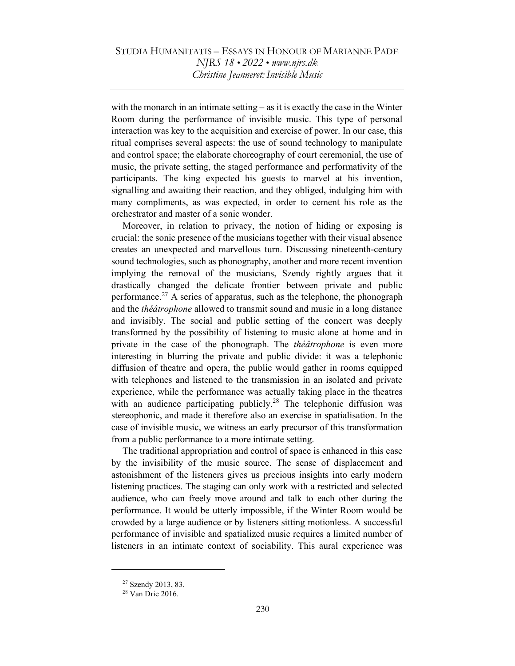with the monarch in an intimate setting – as it is exactly the case in the Winter Room during the performance of invisible music. This type of personal interaction was key to the acquisition and exercise of power. In our case, this ritual comprises several aspects: the use of sound technology to manipulate and control space; the elaborate choreography of court ceremonial, the use of music, the private setting, the staged performance and performativity of the participants. The king expected his guests to marvel at his invention, signalling and awaiting their reaction, and they obliged, indulging him with many compliments, as was expected, in order to cement his role as the orchestrator and master of a sonic wonder.

Moreover, in relation to privacy, the notion of hiding or exposing is crucial: the sonic presence of the musicians together with their visual absence creates an unexpected and marvellous turn. Discussing nineteenth-century sound technologies, such as phonography, another and more recent invention implying the removal of the musicians, Szendy rightly argues that it drastically changed the delicate frontier between private and public performance.<sup>27</sup> A series of apparatus, such as the telephone, the phonograph and the *théâtrophone* allowed to transmit sound and music in a long distance and invisibly. The social and public setting of the concert was deeply transformed by the possibility of listening to music alone at home and in private in the case of the phonograph. The *théâtrophone* is even more interesting in blurring the private and public divide: it was a telephonic diffusion of theatre and opera, the public would gather in rooms equipped with telephones and listened to the transmission in an isolated and private experience, while the performance was actually taking place in the theatres with an audience participating publicly.<sup>28</sup> The telephonic diffusion was stereophonic, and made it therefore also an exercise in spatialisation. In the case of invisible music, we witness an early precursor of this transformation from a public performance to a more intimate setting.

The traditional appropriation and control of space is enhanced in this case by the invisibility of the music source. The sense of displacement and astonishment of the listeners gives us precious insights into early modern listening practices. The staging can only work with a restricted and selected audience, who can freely move around and talk to each other during the performance. It would be utterly impossible, if the Winter Room would be crowded by a large audience or by listeners sitting motionless. A successful performance of invisible and spatialized music requires a limited number of listeners in an intimate context of sociability. This aural experience was

<sup>27</sup> Szendy 2013, 83.

<sup>28</sup> Van Drie 2016.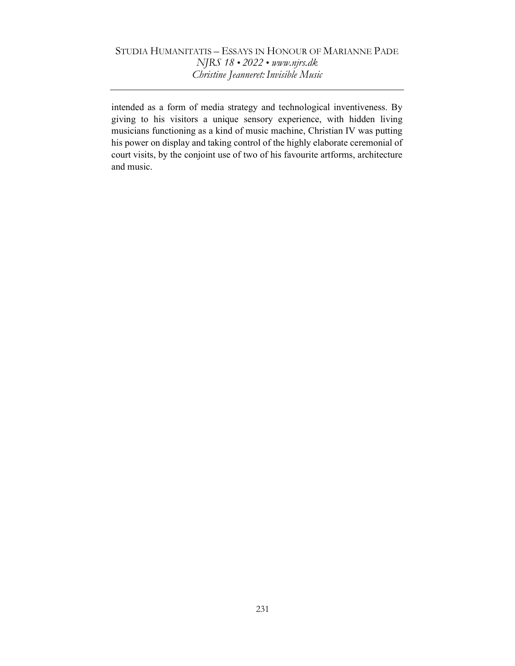intended as a form of media strategy and technological inventiveness. By giving to his visitors a unique sensory experience, with hidden living musicians functioning as a kind of music machine, Christian IV was putting his power on display and taking control of the highly elaborate ceremonial of court visits, by the conjoint use of two of his favourite artforms, architecture and music.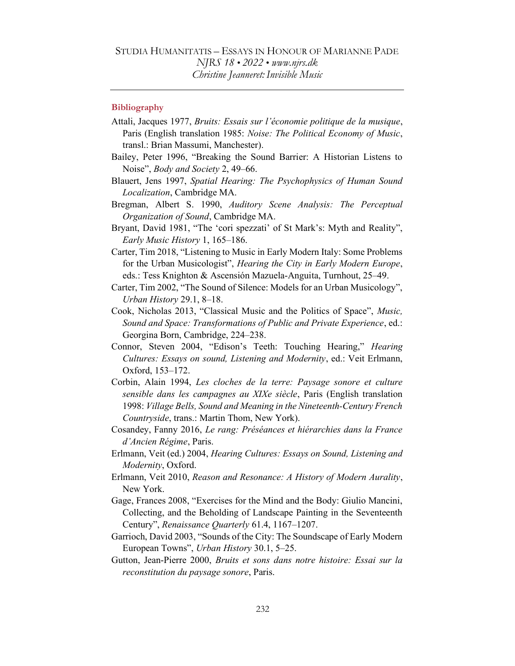#### **Bibliography**

- Attali, Jacques 1977, Bruits: Essais sur l'économie politique de la musique, Paris (English translation 1985: Noise: The Political Economy of Music, transl.: Brian Massumi, Manchester).
- Bailey, Peter 1996, "Breaking the Sound Barrier: A Historian Listens to Noise", Body and Society 2, 49–66.
- Blauert, Jens 1997, Spatial Hearing: The Psychophysics of Human Sound Localization, Cambridge MA.
- Bregman, Albert S. 1990, Auditory Scene Analysis: The Perceptual Organization of Sound, Cambridge MA.
- Bryant, David 1981, "The 'cori spezzati' of St Mark's: Myth and Reality", Early Music History 1, 165–186.
- Carter, Tim 2018, "Listening to Music in Early Modern Italy: Some Problems for the Urban Musicologist", Hearing the City in Early Modern Europe, eds.: Tess Knighton & Ascensión Mazuela-Anguita, Turnhout, 25–49.
- Carter, Tim 2002, "The Sound of Silence: Models for an Urban Musicology", Urban History 29.1, 8–18.
- Cook, Nicholas 2013, "Classical Music and the Politics of Space", Music, Sound and Space: Transformations of Public and Private Experience, ed.: Georgina Born, Cambridge, 224–238.
- Connor, Steven 2004, "Edison's Teeth: Touching Hearing," Hearing Cultures: Essays on sound, Listening and Modernity, ed.: Veit Erlmann, Oxford, 153–172.
- Corbin, Alain 1994, Les cloches de la terre: Paysage sonore et culture sensible dans les campagnes au XIXe siècle, Paris (English translation 1998: Village Bells, Sound and Meaning in the Nineteenth-Century French Countryside, trans.: Martin Thom, New York).
- Cosandey, Fanny 2016, Le rang: Préséances et hiérarchies dans la France d'Ancien Régime, Paris.
- Erlmann, Veit (ed.) 2004, Hearing Cultures: Essays on Sound, Listening and Modernity, Oxford.
- Erlmann, Veit 2010, Reason and Resonance: A History of Modern Aurality, New York.
- Gage, Frances 2008, "Exercises for the Mind and the Body: Giulio Mancini, Collecting, and the Beholding of Landscape Painting in the Seventeenth Century", Renaissance Quarterly 61.4, 1167–1207.
- Garrioch, David 2003, "Sounds of the City: The Soundscape of Early Modern European Towns", Urban History 30.1, 5–25.
- Gutton, Jean-Pierre 2000, Bruits et sons dans notre histoire: Essai sur la reconstitution du paysage sonore, Paris.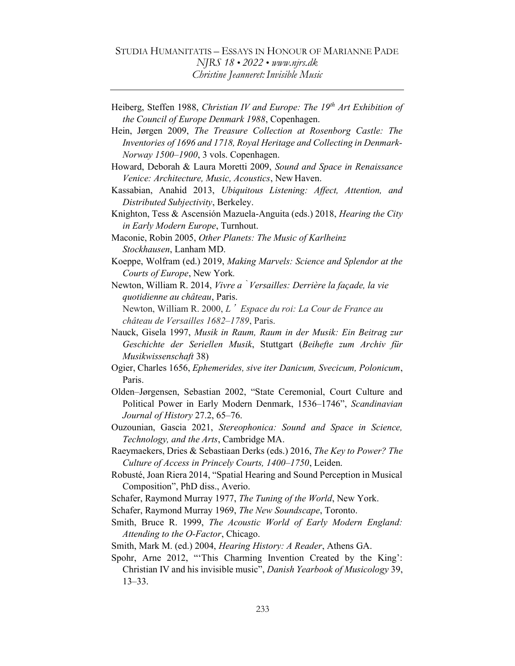Heiberg, Steffen 1988, Christian IV and Europe: The  $19<sup>th</sup>$  Art Exhibition of the Council of Europe Denmark 1988, Copenhagen.

Hein, Jørgen 2009, The Treasure Collection at Rosenborg Castle: The Inventories of 1696 and 1718, Royal Heritage and Collecting in Denmark-Norway 1500–1900, 3 vols. Copenhagen.

- Howard, Deborah & Laura Moretti 2009, Sound and Space in Renaissance Venice: Architecture, Music, Acoustics, New Haven.
- Kassabian, Anahid 2013, Ubiquitous Listening: Affect, Attention, and Distributed Subjectivity, Berkeley.
- Knighton, Tess & Ascensión Mazuela-Anguita (eds.) 2018, Hearing the City in Early Modern Europe, Turnhout.
- Maconie, Robin 2005, Other Planets: The Music of Karlheinz Stockhausen, Lanham MD.
- Koeppe, Wolfram (ed.) 2019, Making Marvels: Science and Splendor at the Courts of Europe, New York.
- Newton, William R. 2014, Vivre à Versailles: Derrière la façade, la vie quotidienne au château, Paris.

Newton, William R. 2000,  $L'$  Espace du roi: La Cour de France au château de Versailles 1682–1789, Paris.

- Nauck, Gisela 1997, Musik in Raum, Raum in der Musik: Ein Beitrag zur Geschichte der Seriellen Musik, Stuttgart (Beihefte zum Archiv für Musikwissenschaft 38)
- Ogier, Charles 1656, Ephemerides, sive iter Danicum, Svecicum, Polonicum, Paris.
- Olden–Jørgensen, Sebastian 2002, "State Ceremonial, Court Culture and Political Power in Early Modern Denmark, 1536–1746", Scandinavian Journal of History 27.2, 65–76.
- Ouzounian, Gascia 2021, Stereophonica: Sound and Space in Science, Technology, and the Arts, Cambridge MA.
- Raeymaekers, Dries & Sebastiaan Derks (eds.) 2016, The Key to Power? The Culture of Access in Princely Courts, 1400–1750, Leiden.
- Robusté, Joan Riera 2014, "Spatial Hearing and Sound Perception in Musical Composition", PhD diss., Averio.
- Schafer, Raymond Murray 1977, The Tuning of the World, New York.

Schafer, Raymond Murray 1969, The New Soundscape, Toronto.

- Smith, Bruce R. 1999, The Acoustic World of Early Modern England: Attending to the O-Factor, Chicago.
- Smith, Mark M. (ed.) 2004, Hearing History: A Reader, Athens GA.
- Spohr, Arne 2012, "This Charming Invention Created by the King': Christian IV and his invisible music", Danish Yearbook of Musicology 39, 13–33.